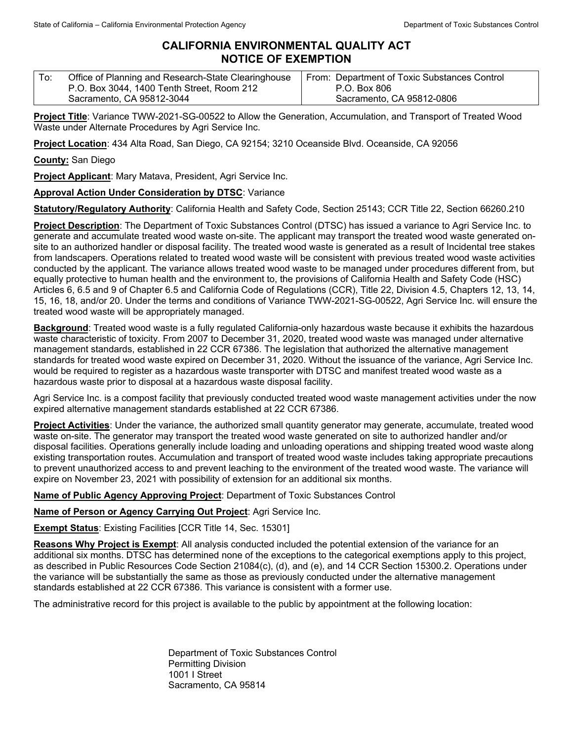## **CALIFORNIA ENVIRONMENTAL QUALITY ACT NOTICE OF EXEMPTION**

| ' To: | Office of Planning and Research-State Clearinghouse | From: Department of Toxic Substances Control |
|-------|-----------------------------------------------------|----------------------------------------------|
|       | P.O. Box 3044, 1400 Tenth Street, Room 212          | P.O. Box 806                                 |
|       | Sacramento, CA 95812-3044                           | Sacramento, CA 95812-0806                    |

**Project Title**: Variance TWW-2021-SG-00522 to Allow the Generation, Accumulation, and Transport of Treated Wood Waste under Alternate Procedures by Agri Service Inc.

**Project Location**: 434 Alta Road, San Diego, CA 92154; 3210 Oceanside Blvd. Oceanside, CA 92056

**County:** San Diego

**Project Applicant**: Mary Matava, President, Agri Service Inc.

## **Approval Action Under Consideration by DTSC**: Variance

**Statutory/Regulatory Authority**: California Health and Safety Code, Section 25143; CCR Title 22, Section 66260.210

**Project Description**: The Department of Toxic Substances Control (DTSC) has issued a variance to Agri Service Inc. to generate and accumulate treated wood waste on-site. The applicant may transport the treated wood waste generated onsite to an authorized handler or disposal facility. The treated wood waste is generated as a result of Incidental tree stakes from landscapers. Operations related to treated wood waste will be consistent with previous treated wood waste activities conducted by the applicant. The variance allows treated wood waste to be managed under procedures different from, but equally protective to human health and the environment to, the provisions of California Health and Safety Code (HSC) Articles 6, 6.5 and 9 of Chapter 6.5 and California Code of Regulations (CCR), Title 22, Division 4.5, Chapters 12, 13, 14, 15, 16, 18, and/or 20. Under the terms and conditions of Variance TWW-2021-SG-00522, Agri Service Inc. will ensure the treated wood waste will be appropriately managed.

**Background**: Treated wood waste is a fully regulated California-only hazardous waste because it exhibits the hazardous waste characteristic of toxicity. From 2007 to December 31, 2020, treated wood waste was managed under alternative management standards, established in 22 CCR 67386. The legislation that authorized the alternative management standards for treated wood waste expired on December 31, 2020. Without the issuance of the variance, Agri Service Inc. would be required to register as a hazardous waste transporter with DTSC and manifest treated wood waste as a hazardous waste prior to disposal at a hazardous waste disposal facility.

Agri Service Inc. is a compost facility that previously conducted treated wood waste management activities under the now expired alternative management standards established at 22 CCR 67386.

**Project Activities**: Under the variance, the authorized small quantity generator may generate, accumulate, treated wood waste on-site. The generator may transport the treated wood waste generated on site to authorized handler and/or disposal facilities. Operations generally include loading and unloading operations and shipping treated wood waste along existing transportation routes. Accumulation and transport of treated wood waste includes taking appropriate precautions to prevent unauthorized access to and prevent leaching to the environment of the treated wood waste. The variance will expire on November 23, 2021 with possibility of extension for an additional six months.

**Name of Public Agency Approving Project**: Department of Toxic Substances Control

**Name of Person or Agency Carrying Out Project**: Agri Service Inc.

**Exempt Status**: Existing Facilities [CCR Title 14, Sec. 15301]

**Reasons Why Project is Exempt**: All analysis conducted included the potential extension of the variance for an additional six months. DTSC has determined none of the exceptions to the categorical exemptions apply to this project, as described in Public Resources Code Section 21084(c), (d), and (e), and 14 CCR Section 15300.2. Operations under the variance will be substantially the same as those as previously conducted under the alternative management standards established at 22 CCR 67386. This variance is consistent with a former use.

The administrative record for this project is available to the public by appointment at the following location:

Department of Toxic Substances Control Permitting Division 1001 I Street Sacramento, CA 95814